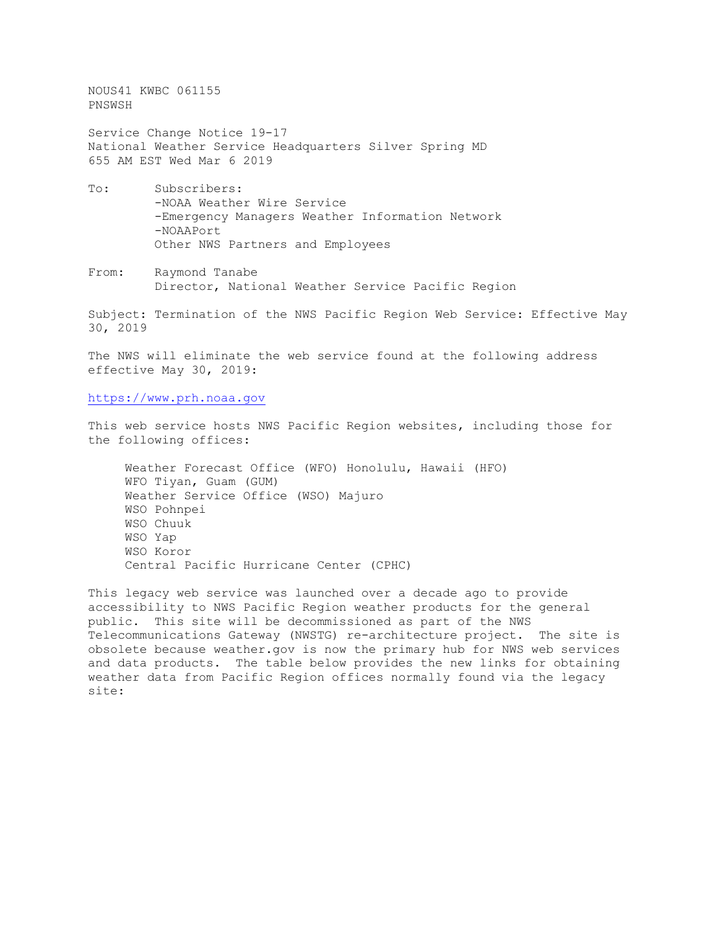NOUS41 KWBC 061155 PNSWSH

Service Change Notice 19-17 National Weather Service Headquarters Silver Spring MD 655 AM EST Wed Mar 6 2019

- To: Subscribers: -NOAA Weather Wire Service -Emergency Managers Weather Information Network -NOAAPort Other NWS Partners and Employees
- From: Raymond Tanabe Director, National Weather Service Pacific Region

Subject: Termination of the NWS Pacific Region Web Service: Effective May 30, 2019

The NWS will eliminate the web service found at the following address effective May 30, 2019:

[https://www.prh.noaa.gov](https://www.prh.noaa.gov/)

This web service hosts NWS Pacific Region websites, including those for the following offices:

 Weather Forecast Office (WFO) Honolulu, Hawaii (HFO) WFO Tiyan, Guam (GUM) Weather Service Office (WSO) Majuro WSO Pohnpei WSO Chuuk WSO Yap WSO Koror Central Pacific Hurricane Center (CPHC)

This legacy web service was launched over a decade ago to provide accessibility to NWS Pacific Region weather products for the general public. This site will be decommissioned as part of the NWS Telecommunications Gateway (NWSTG) re-architecture project. The site is obsolete because weather.gov is now the primary hub for NWS web services and data products. The table below provides the new links for obtaining weather data from Pacific Region offices normally found via the legacy site: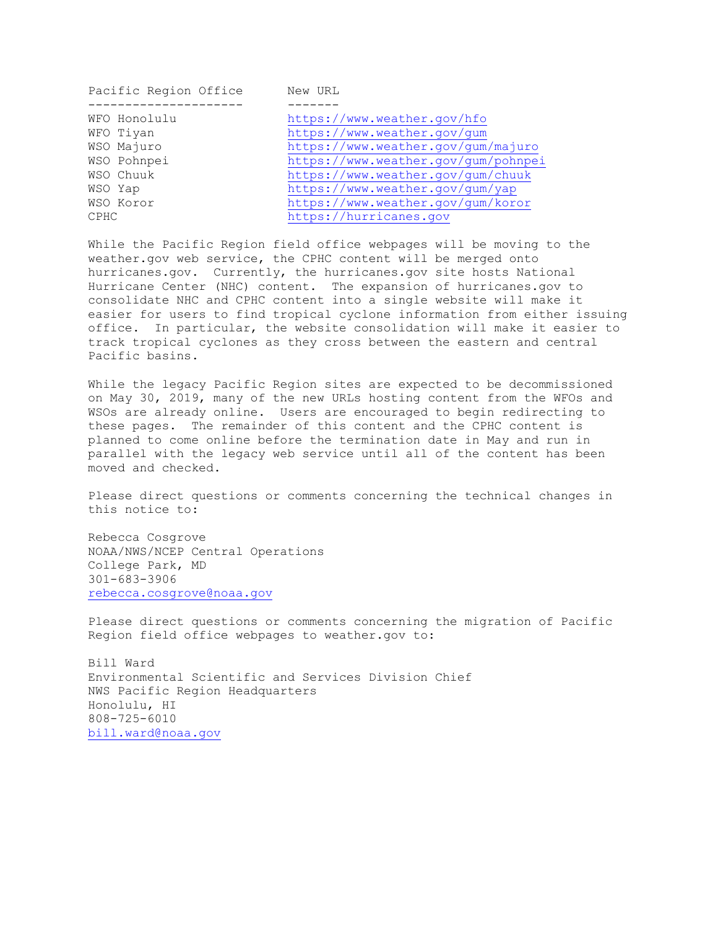| Pacific Region Office | New URL                             |
|-----------------------|-------------------------------------|
|                       |                                     |
| WFO Honolulu          | https://www.weather.gov/hfo         |
| WFO Tiyan             | https://www.weather.gov/gum         |
| WSO Majuro            | https://www.weather.gov/gum/majuro  |
| WSO Pohnpei           | https://www.weather.gov/gum/pohnpei |
| WSO Chuuk             | https://www.weather.gov/gum/chuuk   |
| WSO Yap               | https://www.weather.gov/gum/yap     |
| WSO Koror             | https://www.weather.gov/gum/koror   |
| <b>CPHC</b>           | https://hurricanes.gov              |
|                       |                                     |

While the Pacific Region field office webpages will be moving to the weather.gov web service, the CPHC content will be merged onto hurricanes.gov. Currently, the hurricanes.gov site hosts National Hurricane Center (NHC) content. The expansion of hurricanes.gov to consolidate NHC and CPHC content into a single website will make it easier for users to find tropical cyclone information from either issuing office. In particular, the website consolidation will make it easier to track tropical cyclones as they cross between the eastern and central Pacific basins.

While the legacy Pacific Region sites are expected to be decommissioned on May 30, 2019, many of the new URLs hosting content from the WFOs and WSOs are already online. Users are encouraged to begin redirecting to these pages. The remainder of this content and the CPHC content is planned to come online before the termination date in May and run in parallel with the legacy web service until all of the content has been moved and checked.

Please direct questions or comments concerning the technical changes in this notice to:

Rebecca Cosgrove NOAA/NWS/NCEP Central Operations College Park, MD 301-683-3906 [rebecca.cosgrove@noaa.gov](mailto:rebecca.cosgrove@noaa.gov)

Please direct questions or comments concerning the migration of Pacific Region field office webpages to weather.gov to:

Bill Ward Environmental Scientific and Services Division Chief NWS Pacific Region Headquarters Honolulu, HI 808-725-6010 [bill.ward@noaa.gov](mailto:bill.ward@noaa.gov)